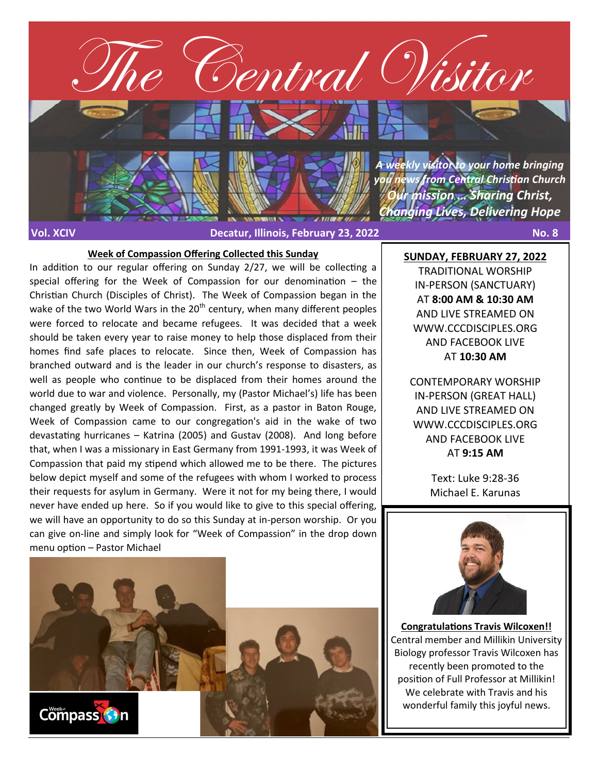

#### **Week of Compassion Offering Collected this Sunday**

In addition to our regular offering on Sunday 2/27, we will be collecting a special offering for the Week of Compassion for our denomination – the Christian Church (Disciples of Christ). The Week of Compassion began in the wake of the two World Wars in the  $20<sup>th</sup>$  century, when many different peoples were forced to relocate and became refugees. It was decided that a week should be taken every year to raise money to help those displaced from their homes find safe places to relocate. Since then, Week of Compassion has branched outward and is the leader in our church's response to disasters, as well as people who continue to be displaced from their homes around the world due to war and violence. Personally, my (Pastor Michael's) life has been changed greatly by Week of Compassion. First, as a pastor in Baton Rouge, Week of Compassion came to our congregation's aid in the wake of two devastating hurricanes – Katrina (2005) and Gustav (2008). And long before that, when I was a missionary in East Germany from 1991-1993, it was Week of Compassion that paid my stipend which allowed me to be there. The pictures below depict myself and some of the refugees with whom I worked to process their requests for asylum in Germany. Were it not for my being there, I would never have ended up here. So if you would like to give to this special offering, we will have an opportunity to do so this Sunday at in-person worship. Or you can give on-line and simply look for "Week of Compassion" in the drop down menu option – Pastor Michael

Compass **G**<sup>n</sup>

**Congratulations Travis Wilcoxen!!** Central member and Millikin University Biology professor Travis Wilcoxen has recently been promoted to the position of Full Professor at Millikin! We celebrate with Travis and his wonderful family this joyful news.

**SUNDAY, FEBRUARY 27, 2022** TRADITIONAL WORSHIP IN-PERSON (SANCTUARY) AT **8:00 AM & 10:30 AM**  AND LIVE STREAMED ON WWW.CCCDISCIPLES.ORG AND FACEBOOK LIVE

#### AT **10:30 AM**

CONTEMPORARY WORSHIP IN-PERSON (GREAT HALL) AND LIVE STREAMED ON WWW.CCCDISCIPLES.ORG AND FACEBOOK LIVE AT **9:15 AM**

> Text: Luke 9:28-36 Michael E. Karunas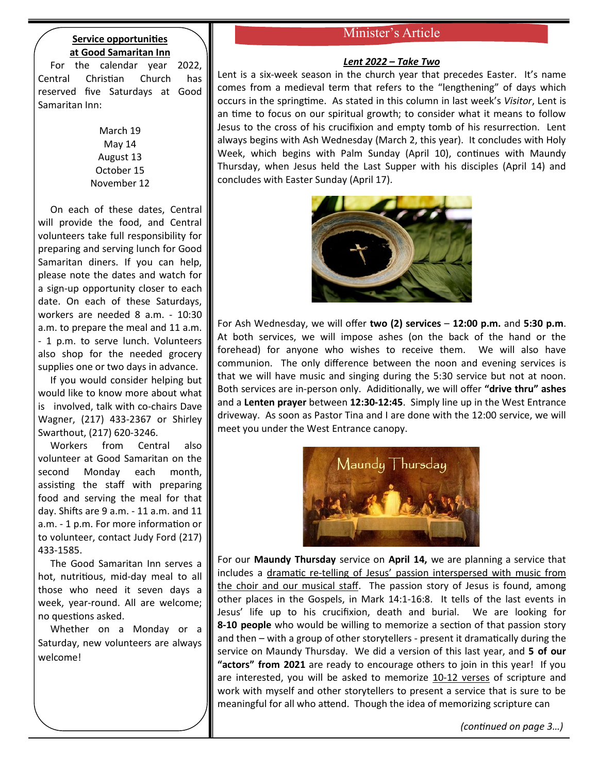## **Service opportunities at Good Samaritan Inn**

 For the calendar year 2022, Central Christian Church has reserved five Saturdays at Good Samaritan Inn:

> March 19 May 14 August 13 October 15 November 12

 On each of these dates, Central will provide the food, and Central volunteers take full responsibility for preparing and serving lunch for Good Samaritan diners. If you can help, please note the dates and watch for a sign-up opportunity closer to each date. On each of these Saturdays, workers are needed 8 a.m. - 10:30 a.m. to prepare the meal and 11 a.m. - 1 p.m. to serve lunch. Volunteers also shop for the needed grocery supplies one or two days in advance.

 If you would consider helping but would like to know more about what is involved, talk with co-chairs Dave Wagner, (217) 433-2367 or Shirley Swarthout, (217) 620-3246.

 Workers from Central also volunteer at Good Samaritan on the second Monday each month, assisting the staff with preparing food and serving the meal for that day. Shifts are 9 a.m. - 11 a.m. and 11 a.m. - 1 p.m. For more information or to volunteer, contact Judy Ford (217) 433-1585.

 The Good Samaritan Inn serves a hot, nutritious, mid-day meal to all those who need it seven days a week, year-round. All are welcome; no questions asked.

 Whether on a Monday or a Saturday, new volunteers are always welcome!

# Minister's Article

### *Lent 2022 – Take Two*

Lent is a six-week season in the church year that precedes Easter. It's name comes from a medieval term that refers to the "lengthening" of days which occurs in the springtime. As stated in this column in last week's *Visitor*, Lent is an time to focus on our spiritual growth; to consider what it means to follow Jesus to the cross of his crucifixion and empty tomb of his resurrection. Lent always begins with Ash Wednesday (March 2, this year). It concludes with Holy Week, which begins with Palm Sunday (April 10), continues with Maundy Thursday, when Jesus held the Last Supper with his disciples (April 14) and concludes with Easter Sunday (April 17).



For Ash Wednesday, we will offer **two (2) services** – **12:00 p.m.** and **5:30 p.m**. At both services, we will impose ashes (on the back of the hand or the forehead) for anyone who wishes to receive them. We will also have communion. The only difference between the noon and evening services is that we will have music and singing during the 5:30 service but not at noon. Both services are in-person only. Adiditionally, we will offer **"drive thru" ashes** and a **Lenten prayer** between **12:30-12:45**. Simply line up in the West Entrance driveway. As soon as Pastor Tina and I are done with the 12:00 service, we will meet you under the West Entrance canopy.



For our **Maundy Thursday** service on **April 14,** we are planning a service that includes a dramatic re-telling of Jesus' passion interspersed with music from the choir and our musical staff. The passion story of Jesus is found, among other places in the Gospels, in Mark 14:1-16:8. It tells of the last events in Jesus' life up to his crucifixion, death and burial. We are looking for **8-10 people** who would be willing to memorize a section of that passion story and then – with a group of other storytellers - present it dramatically during the service on Maundy Thursday. We did a version of this last year, and **5 of our "actors" from 2021** are ready to encourage others to join in this year! If you are interested, you will be asked to memorize 10-12 verses of scripture and work with myself and other storytellers to present a service that is sure to be meaningful for all who attend. Though the idea of memorizing scripture can

*(continued on page 3…)*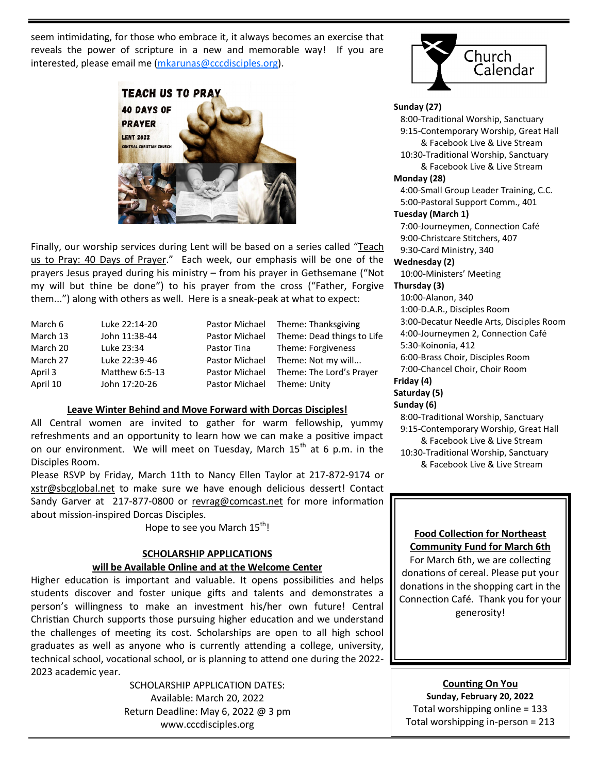seem intimidating, for those who embrace it, it always becomes an exercise that reveals the power of scripture in a new and memorable way! If you are interested, please email me [\(mkarunas@cccdisciples.org\)](mailto:mkarunas@cccdisciples.org).



Finally, our worship services during Lent will be based on a series called "Teach us to Pray: 40 Days of Prayer." Each week, our emphasis will be one of the prayers Jesus prayed during his ministry – from his prayer in Gethsemane ("Not my will but thine be done") to his prayer from the cross ("Father, Forgive them...") along with others as well. Here is a sneak-peak at what to expect:

| March 6  | Luke 22:14-20  |                             | Pastor Michael Theme: Thanksgiving        |
|----------|----------------|-----------------------------|-------------------------------------------|
| March 13 | John 11:38-44  |                             | Pastor Michael Theme: Dead things to Life |
| March 20 | Luke 23:34     | Pastor Tina                 | Theme: Forgiveness                        |
| March 27 | Luke 22:39-46  |                             | Pastor Michael Theme: Not my will         |
| April 3  | Matthew 6:5-13 |                             | Pastor Michael Theme: The Lord's Prayer   |
| April 10 | John 17:20-26  | Pastor Michael Theme: Unity |                                           |

#### **Leave Winter Behind and Move Forward with Dorcas Disciples!**

All Central women are invited to gather for warm fellowship, yummy refreshments and an opportunity to learn how we can make a positive impact on our environment. We will meet on Tuesday, March 15<sup>th</sup> at 6 p.m. in the Disciples Room.

Please RSVP by Friday, March 11th to Nancy Ellen Taylor at 217-872-9174 or [xstr@sbcglobal.net](mailto:xstr@sbcglobal.net) to make sure we have enough delicious dessert! Contact Sandy Garver at 217-877-[0800 or revrag@comcast.net](mailto:217-877-0800%20or%20revrag@comcast.net) for more information about mission-inspired Dorcas Disciples.

Hope to see you March 15<sup>th</sup>!

#### **SCHOLARSHIP APPLICATIONS will be Available Online and at the Welcome Center**

Higher education is important and valuable. It opens possibilities and helps students discover and foster unique gifts and talents and demonstrates a person's willingness to make an investment his/her own future! Central Christian Church supports those pursuing higher education and we understand the challenges of meeting its cost. Scholarships are open to all high school graduates as well as anyone who is currently attending a college, university, technical school, vocational school, or is planning to attend one during the 2022- 2023 academic year.

> SCHOLARSHIP APPLICATION DATES: Available: March 20, 2022 Return Deadline: May 6, 2022 @ 3 pm www.cccdisciples.org



#### **Sunday (27)**

 8:00-Traditional Worship, Sanctuary 9:15-Contemporary Worship, Great Hall & Facebook Live & Live Stream 10:30-Traditional Worship, Sanctuary & Facebook Live & Live Stream

#### **Monday (28)**

 4:00-Small Group Leader Training, C.C. 5:00-Pastoral Support Comm., 401

#### **Tuesday (March 1)**

 7:00-Journeymen, Connection Café 9:00-Christcare Stitchers, 407 9:30-Card Ministry, 340

### **Wednesday (2)**

10:00-Ministers' Meeting

### **Thursday (3)**

 10:00-Alanon, 340 1:00-D.A.R., Disciples Room 3:00-Decatur Needle Arts, Disciples Room 4:00-Journeymen 2, Connection Café 5:30-Koinonia, 412 6:00-Brass Choir, Disciples Room 7:00-Chancel Choir, Choir Room **Friday (4) Saturday (5)**

#### **Sunday (6)**

 8:00-Traditional Worship, Sanctuary 9:15-Contemporary Worship, Great Hall & Facebook Live & Live Stream 10:30-Traditional Worship, Sanctuary

& Facebook Live & Live Stream

### **Food Collection for Northeast Community Fund for March 6th**

For March 6th, we are collecting donations of cereal. Please put your donations in the shopping cart in the Connection Café. Thank you for your generosity!

**Counting On You Sunday, February 20, 2022** Total worshipping online = 133 Total worshipping in-person = 213